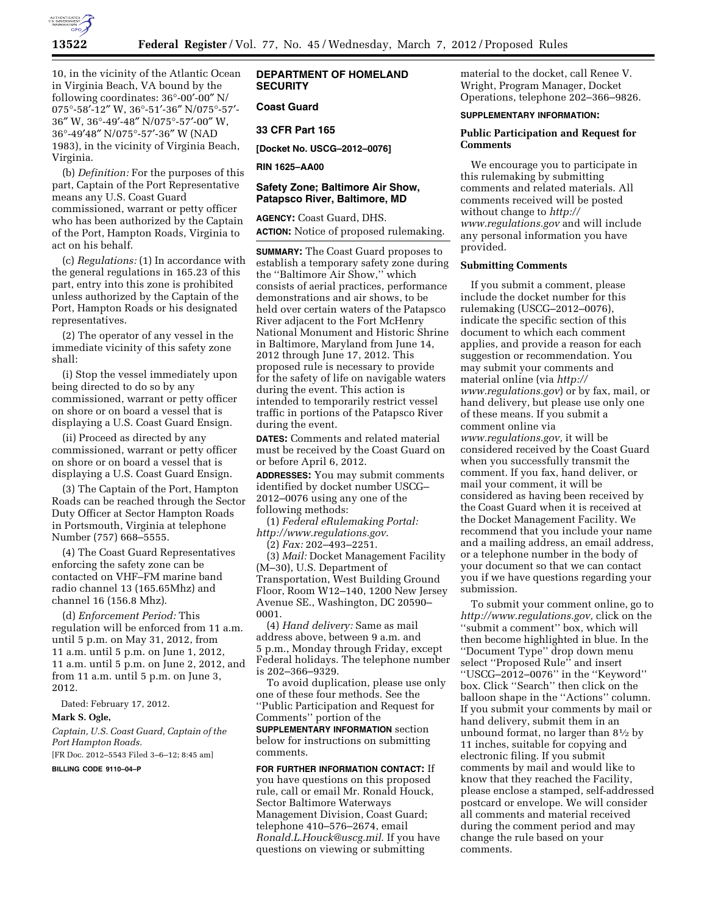

10, in the vicinity of the Atlantic Ocean in Virginia Beach, VA bound by the following coordinates: 36°-00′-00″ N/ 075°-58′-12″ W, 36°-51′-36″ N/075°-57′- 36″ W, 36°-49′-48″ N/075°-57′-00″ W, 36°-49′48″ N/075°-57′-36″ W (NAD 1983), in the vicinity of Virginia Beach, Virginia.

(b) *Definition:* For the purposes of this part, Captain of the Port Representative means any U.S. Coast Guard commissioned, warrant or petty officer who has been authorized by the Captain of the Port, Hampton Roads, Virginia to act on his behalf.

(c) *Regulations:* (1) In accordance with the general regulations in 165.23 of this part, entry into this zone is prohibited unless authorized by the Captain of the Port, Hampton Roads or his designated representatives.

(2) The operator of any vessel in the immediate vicinity of this safety zone shall:

(i) Stop the vessel immediately upon being directed to do so by any commissioned, warrant or petty officer on shore or on board a vessel that is displaying a U.S. Coast Guard Ensign.

(ii) Proceed as directed by any commissioned, warrant or petty officer on shore or on board a vessel that is displaying a U.S. Coast Guard Ensign.

(3) The Captain of the Port, Hampton Roads can be reached through the Sector Duty Officer at Sector Hampton Roads in Portsmouth, Virginia at telephone Number (757) 668–5555.

(4) The Coast Guard Representatives enforcing the safety zone can be contacted on VHF–FM marine band radio channel 13 (165.65Mhz) and channel 16 (156.8 Mhz).

(d) *Enforcement Period:* This regulation will be enforced from 11 a.m. until 5 p.m. on May 31, 2012, from 11 a.m. until 5 p.m. on June 1, 2012, 11 a.m. until 5 p.m. on June 2, 2012, and from 11 a.m. until 5 p.m. on June 3, 2012.

Dated: February 17, 2012.

### **Mark S. Ogle,**

*Captain, U.S. Coast Guard, Captain of the Port Hampton Roads.* 

[FR Doc. 2012–5543 Filed 3–6–12; 8:45 am]

**BILLING CODE 9110–04–P** 

# **DEPARTMENT OF HOMELAND SECURITY**

# **Coast Guard**

## **33 CFR Part 165**

**[Docket No. USCG–2012–0076]** 

**RIN 1625–AA00** 

## **Safety Zone; Baltimore Air Show, Patapsco River, Baltimore, MD**

**AGENCY:** Coast Guard, DHS. **ACTION:** Notice of proposed rulemaking.

**SUMMARY:** The Coast Guard proposes to establish a temporary safety zone during the ''Baltimore Air Show,'' which consists of aerial practices, performance demonstrations and air shows, to be held over certain waters of the Patapsco River adjacent to the Fort McHenry National Monument and Historic Shrine in Baltimore, Maryland from June 14, 2012 through June 17, 2012. This proposed rule is necessary to provide for the safety of life on navigable waters during the event. This action is intended to temporarily restrict vessel traffic in portions of the Patapsco River during the event.

**DATES:** Comments and related material must be received by the Coast Guard on or before April 6, 2012.

**ADDRESSES:** You may submit comments identified by docket number USCG– 2012–0076 using any one of the following methods:

(1) *Federal eRulemaking Portal: [http://www.regulations.gov](http://www.regulations.gov.)*.

(2) *Fax:* 202–493–2251.

(3) *Mail:* Docket Management Facility (M–30), U.S. Department of Transportation, West Building Ground Floor, Room W12–140, 1200 New Jersey Avenue SE., Washington, DC 20590– 0001.

(4) *Hand delivery:* Same as mail address above, between 9 a.m. and 5 p.m., Monday through Friday, except Federal holidays. The telephone number is 202–366–9329.

To avoid duplication, please use only one of these four methods. See the ''Public Participation and Request for Comments'' portion of the

**SUPPLEMENTARY INFORMATION** section below for instructions on submitting comments.

**FOR FURTHER INFORMATION CONTACT:** If you have questions on this proposed rule, call or email Mr. Ronald Houck, Sector Baltimore Waterways Management Division, Coast Guard; telephone 410–576–2674, email *[Ronald.L.Houck@uscg.mil](mailto:Ronald.L.Houck@uscg.mil)*. If you have questions on viewing or submitting

material to the docket, call Renee V. Wright, Program Manager, Docket Operations, telephone 202–366–9826.

#### **SUPPLEMENTARY INFORMATION:**

# **Public Participation and Request for Comments**

We encourage you to participate in this rulemaking by submitting comments and related materials. All comments received will be posted without change to *[http://](http://www.regulations.gov) [www.regulations.gov](http://www.regulations.gov)* and will include any personal information you have provided.

# **Submitting Comments**

If you submit a comment, please include the docket number for this rulemaking (USCG–2012–0076), indicate the specific section of this document to which each comment applies, and provide a reason for each suggestion or recommendation. You may submit your comments and material online (via *[http://](http://www.regulations.gov)  [www.regulations.gov](http://www.regulations.gov)*) or by fax, mail, or hand delivery, but please use only one of these means. If you submit a comment online via *[www.regulations.gov,](http://www.regulations.gov)* it will be considered received by the Coast Guard when you successfully transmit the comment. If you fax, hand deliver, or mail your comment, it will be considered as having been received by the Coast Guard when it is received at the Docket Management Facility. We recommend that you include your name and a mailing address, an email address, or a telephone number in the body of your document so that we can contact you if we have questions regarding your submission.

To submit your comment online, go to *[http://www.regulations.gov,](http://www.regulations.gov)* click on the ''submit a comment'' box, which will then become highlighted in blue. In the ''Document Type'' drop down menu select ''Proposed Rule'' and insert ''USCG–2012–0076'' in the ''Keyword'' box. Click ''Search'' then click on the balloon shape in the ''Actions'' column. If you submit your comments by mail or hand delivery, submit them in an unbound format, no larger than 81⁄2 by 11 inches, suitable for copying and electronic filing. If you submit comments by mail and would like to know that they reached the Facility, please enclose a stamped, self-addressed postcard or envelope. We will consider all comments and material received during the comment period and may change the rule based on your comments.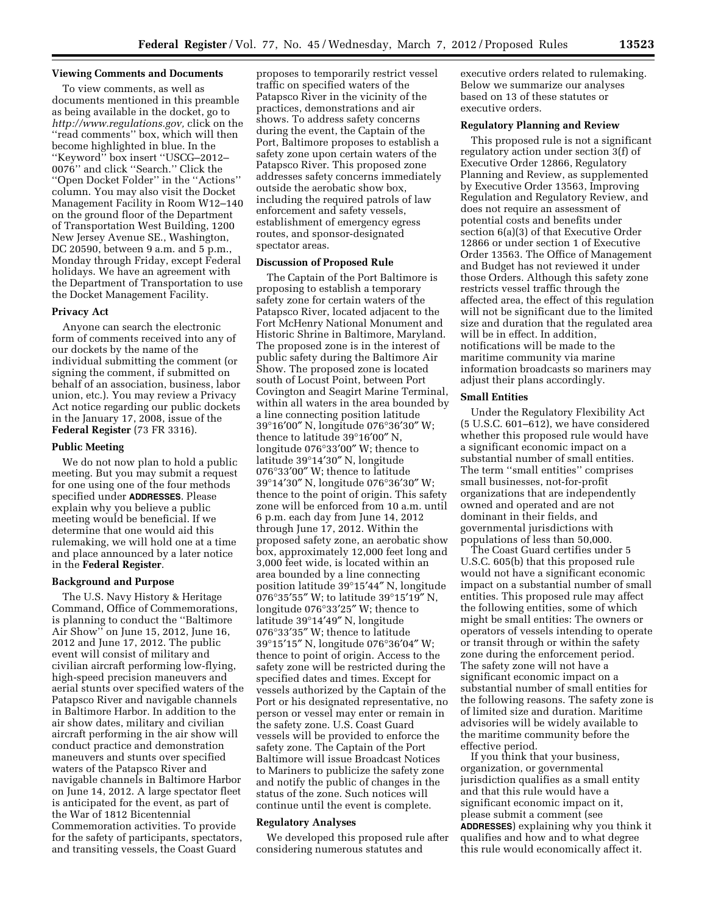## **Viewing Comments and Documents**

To view comments, as well as documents mentioned in this preamble as being available in the docket, go to *[http://www.regulations.gov,](http://www.regulations.gov)* click on the ''read comments'' box, which will then become highlighted in blue. In the ''Keyword'' box insert ''USCG–2012– 0076'' and click ''Search.'' Click the ''Open Docket Folder'' in the ''Actions'' column. You may also visit the Docket Management Facility in Room W12–140 on the ground floor of the Department of Transportation West Building, 1200 New Jersey Avenue SE., Washington, DC 20590, between 9 a.m. and 5 p.m., Monday through Friday, except Federal holidays. We have an agreement with the Department of Transportation to use the Docket Management Facility.

#### **Privacy Act**

Anyone can search the electronic form of comments received into any of our dockets by the name of the individual submitting the comment (or signing the comment, if submitted on behalf of an association, business, labor union, etc.). You may review a Privacy Act notice regarding our public dockets in the January 17, 2008, issue of the **Federal Register** (73 FR 3316).

#### **Public Meeting**

We do not now plan to hold a public meeting. But you may submit a request for one using one of the four methods specified under **ADDRESSES**. Please explain why you believe a public meeting would be beneficial. If we determine that one would aid this rulemaking, we will hold one at a time and place announced by a later notice in the **Federal Register**.

## **Background and Purpose**

The U.S. Navy History & Heritage Command, Office of Commemorations, is planning to conduct the ''Baltimore Air Show'' on June 15, 2012, June 16, 2012 and June 17, 2012. The public event will consist of military and civilian aircraft performing low-flying, high-speed precision maneuvers and aerial stunts over specified waters of the Patapsco River and navigable channels in Baltimore Harbor. In addition to the air show dates, military and civilian aircraft performing in the air show will conduct practice and demonstration maneuvers and stunts over specified waters of the Patapsco River and navigable channels in Baltimore Harbor on June 14, 2012. A large spectator fleet is anticipated for the event, as part of the War of 1812 Bicentennial Commemoration activities. To provide for the safety of participants, spectators, and transiting vessels, the Coast Guard

proposes to temporarily restrict vessel traffic on specified waters of the Patapsco River in the vicinity of the practices, demonstrations and air shows. To address safety concerns during the event, the Captain of the Port, Baltimore proposes to establish a safety zone upon certain waters of the Patapsco River. This proposed zone addresses safety concerns immediately outside the aerobatic show box, including the required patrols of law enforcement and safety vessels, establishment of emergency egress routes, and sponsor-designated spectator areas.

## **Discussion of Proposed Rule**

The Captain of the Port Baltimore is proposing to establish a temporary safety zone for certain waters of the Patapsco River, located adjacent to the Fort McHenry National Monument and Historic Shrine in Baltimore, Maryland. The proposed zone is in the interest of public safety during the Baltimore Air Show. The proposed zone is located south of Locust Point, between Port Covington and Seagirt Marine Terminal, within all waters in the area bounded by a line connecting position latitude 39°16′00″ N, longitude 076°36′30″ W; thence to latitude 39°16′00″ N, longitude 076°33′00″ W; thence to latitude 39°14′30″ N, longitude 076°33′00″ W; thence to latitude 39°14′30″ N, longitude 076°36′30″ W; thence to the point of origin. This safety zone will be enforced from 10 a.m. until 6 p.m. each day from June 14, 2012 through June 17, 2012. Within the proposed safety zone, an aerobatic show box, approximately 12,000 feet long and 3,000 feet wide, is located within an area bounded by a line connecting position latitude 39°15′44″ N, longitude 076°35′55″ W; to latitude 39°15′19″ N, longitude 076°33′25″ W; thence to latitude 39°14′49″ N, longitude 076°33′35″ W; thence to latitude 39°15′15″ N, longitude 076°36′04″ W; thence to point of origin. Access to the safety zone will be restricted during the specified dates and times. Except for vessels authorized by the Captain of the Port or his designated representative, no person or vessel may enter or remain in the safety zone. U.S. Coast Guard vessels will be provided to enforce the safety zone. The Captain of the Port Baltimore will issue Broadcast Notices to Mariners to publicize the safety zone and notify the public of changes in the status of the zone. Such notices will continue until the event is complete.

## **Regulatory Analyses**

We developed this proposed rule after considering numerous statutes and

executive orders related to rulemaking. Below we summarize our analyses based on 13 of these statutes or executive orders.

### **Regulatory Planning and Review**

This proposed rule is not a significant regulatory action under section 3(f) of Executive Order 12866, Regulatory Planning and Review, as supplemented by Executive Order 13563, Improving Regulation and Regulatory Review, and does not require an assessment of potential costs and benefits under section 6(a)(3) of that Executive Order 12866 or under section 1 of Executive Order 13563. The Office of Management and Budget has not reviewed it under those Orders. Although this safety zone restricts vessel traffic through the affected area, the effect of this regulation will not be significant due to the limited size and duration that the regulated area will be in effect. In addition, notifications will be made to the maritime community via marine information broadcasts so mariners may adjust their plans accordingly.

### **Small Entities**

Under the Regulatory Flexibility Act (5 U.S.C. 601–612), we have considered whether this proposed rule would have a significant economic impact on a substantial number of small entities. The term ''small entities'' comprises small businesses, not-for-profit organizations that are independently owned and operated and are not dominant in their fields, and governmental jurisdictions with populations of less than 50,000.

The Coast Guard certifies under 5 U.S.C. 605(b) that this proposed rule would not have a significant economic impact on a substantial number of small entities. This proposed rule may affect the following entities, some of which might be small entities: The owners or operators of vessels intending to operate or transit through or within the safety zone during the enforcement period. The safety zone will not have a significant economic impact on a substantial number of small entities for the following reasons. The safety zone is of limited size and duration. Maritime advisories will be widely available to the maritime community before the effective period.

If you think that your business, organization, or governmental jurisdiction qualifies as a small entity and that this rule would have a significant economic impact on it, please submit a comment (see **ADDRESSES**) explaining why you think it qualifies and how and to what degree this rule would economically affect it.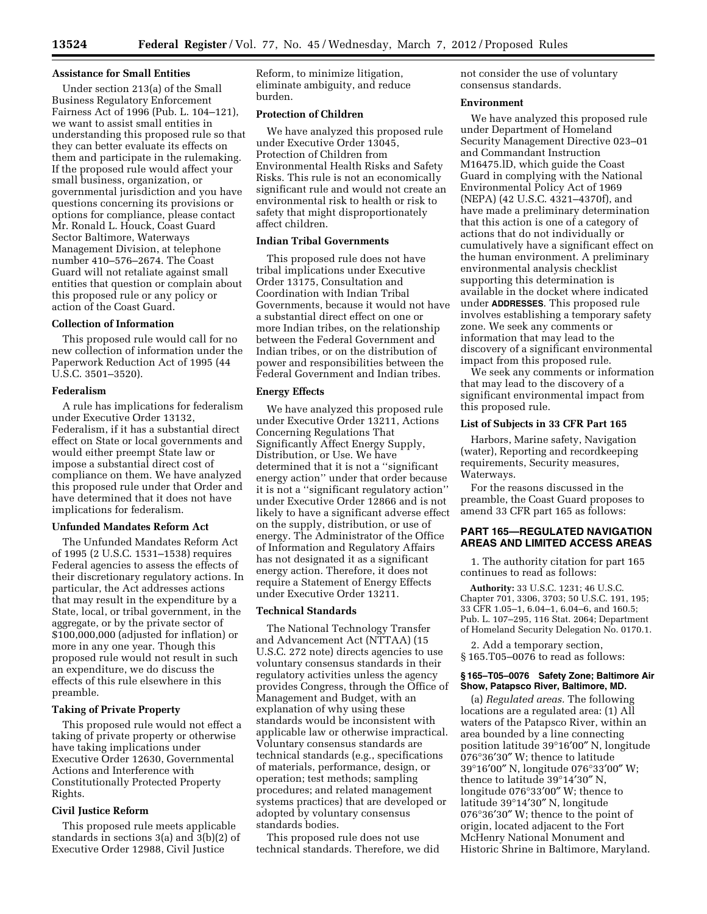### **Assistance for Small Entities**

Under section 213(a) of the Small Business Regulatory Enforcement Fairness Act of 1996 (Pub. L. 104–121), we want to assist small entities in understanding this proposed rule so that they can better evaluate its effects on them and participate in the rulemaking. If the proposed rule would affect your small business, organization, or governmental jurisdiction and you have questions concerning its provisions or options for compliance, please contact Mr. Ronald L. Houck, Coast Guard Sector Baltimore, Waterways Management Division, at telephone number 410–576–2674. The Coast Guard will not retaliate against small entities that question or complain about this proposed rule or any policy or action of the Coast Guard.

# **Collection of Information**

This proposed rule would call for no new collection of information under the Paperwork Reduction Act of 1995 (44 U.S.C. 3501–3520).

#### **Federalism**

A rule has implications for federalism under Executive Order 13132, Federalism, if it has a substantial direct effect on State or local governments and would either preempt State law or impose a substantial direct cost of compliance on them. We have analyzed this proposed rule under that Order and have determined that it does not have implications for federalism.

#### **Unfunded Mandates Reform Act**

The Unfunded Mandates Reform Act of 1995 (2 U.S.C. 1531–1538) requires Federal agencies to assess the effects of their discretionary regulatory actions. In particular, the Act addresses actions that may result in the expenditure by a State, local, or tribal government, in the aggregate, or by the private sector of \$100,000,000 (adjusted for inflation) or more in any one year. Though this proposed rule would not result in such an expenditure, we do discuss the effects of this rule elsewhere in this preamble.

## **Taking of Private Property**

This proposed rule would not effect a taking of private property or otherwise have taking implications under Executive Order 12630, Governmental Actions and Interference with Constitutionally Protected Property Rights.

# **Civil Justice Reform**

This proposed rule meets applicable standards in sections 3(a) and 3(b)(2) of Executive Order 12988, Civil Justice

Reform, to minimize litigation, eliminate ambiguity, and reduce burden.

### **Protection of Children**

We have analyzed this proposed rule under Executive Order 13045, Protection of Children from Environmental Health Risks and Safety Risks. This rule is not an economically significant rule and would not create an environmental risk to health or risk to safety that might disproportionately affect children.

# **Indian Tribal Governments**

This proposed rule does not have tribal implications under Executive Order 13175, Consultation and Coordination with Indian Tribal Governments, because it would not have a substantial direct effect on one or more Indian tribes, on the relationship between the Federal Government and Indian tribes, or on the distribution of power and responsibilities between the Federal Government and Indian tribes.

## **Energy Effects**

We have analyzed this proposed rule under Executive Order 13211, Actions Concerning Regulations That Significantly Affect Energy Supply, Distribution, or Use. We have determined that it is not a ''significant energy action'' under that order because it is not a ''significant regulatory action'' under Executive Order 12866 and is not likely to have a significant adverse effect on the supply, distribution, or use of energy. The Administrator of the Office of Information and Regulatory Affairs has not designated it as a significant energy action. Therefore, it does not require a Statement of Energy Effects under Executive Order 13211.

#### **Technical Standards**

The National Technology Transfer and Advancement Act (NTTAA) (15 U.S.C. 272 note) directs agencies to use voluntary consensus standards in their regulatory activities unless the agency provides Congress, through the Office of Management and Budget, with an explanation of why using these standards would be inconsistent with applicable law or otherwise impractical. Voluntary consensus standards are technical standards (e.g., specifications of materials, performance, design, or operation; test methods; sampling procedures; and related management systems practices) that are developed or adopted by voluntary consensus standards bodies.

This proposed rule does not use technical standards. Therefore, we did not consider the use of voluntary consensus standards.

## **Environment**

We have analyzed this proposed rule under Department of Homeland Security Management Directive 023–01 and Commandant Instruction M16475.lD, which guide the Coast Guard in complying with the National Environmental Policy Act of 1969 (NEPA) (42 U.S.C. 4321–4370f), and have made a preliminary determination that this action is one of a category of actions that do not individually or cumulatively have a significant effect on the human environment. A preliminary environmental analysis checklist supporting this determination is available in the docket where indicated under **ADDRESSES**. This proposed rule involves establishing a temporary safety zone. We seek any comments or information that may lead to the discovery of a significant environmental impact from this proposed rule.

We seek any comments or information that may lead to the discovery of a significant environmental impact from this proposed rule.

# **List of Subjects in 33 CFR Part 165**

Harbors, Marine safety, Navigation (water), Reporting and recordkeeping requirements, Security measures, Waterways.

For the reasons discussed in the preamble, the Coast Guard proposes to amend 33 CFR part 165 as follows:

# **PART 165—REGULATED NAVIGATION AREAS AND LIMITED ACCESS AREAS**

1. The authority citation for part 165 continues to read as follows:

**Authority:** 33 U.S.C. 1231; 46 U.S.C. Chapter 701, 3306, 3703; 50 U.S.C. 191, 195; 33 CFR 1.05–1, 6.04–1, 6.04–6, and 160.5; Pub. L. 107–295, 116 Stat. 2064; Department of Homeland Security Delegation No. 0170.1.

2. Add a temporary section, § 165.T05–0076 to read as follows:

## **§ 165–T05–0076 Safety Zone; Baltimore Air Show, Patapsco River, Baltimore, MD.**

(a) *Regulated areas.* The following locations are a regulated area: (1) All waters of the Patapsco River, within an area bounded by a line connecting position latitude 39°16′00″ N, longitude 076°36′30″ W; thence to latitude 39°16′00″ N, longitude 076°33′00″ W; thence to latitude 39°14′30″ N, longitude 076°33′00″ W; thence to latitude 39°14′30″ N, longitude 076°36′30″ W; thence to the point of origin, located adjacent to the Fort McHenry National Monument and Historic Shrine in Baltimore, Maryland.